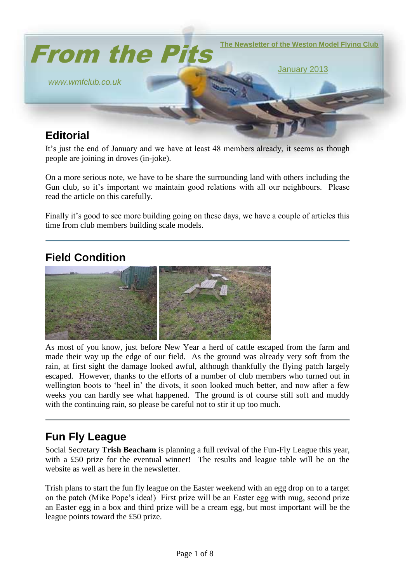

It's just the end of January and we have at least 48 members already, it seems as though people are joining in droves (in-joke).

On a more serious note, we have to be share the surrounding land with others including the Gun club, so it's important we maintain good relations with all our neighbours. Please read the article on this carefully.

Finally it's good to see more building going on these days, we have a couple of articles this time from club members building scale models.

# **Field Condition**



As most of you know, just before New Year a herd of cattle escaped from the farm and made their way up the edge of our field. As the ground was already very soft from the rain, at first sight the damage looked awful, although thankfully the flying patch largely escaped. However, thanks to the efforts of a number of club members who turned out in wellington boots to 'heel in' the divots, it soon looked much better, and now after a few weeks you can hardly see what happened. The ground is of course still soft and muddy with the continuing rain, so please be careful not to stir it up too much.

# **Fun Fly League**

Social Secretary **Trish Beacham** is planning a full revival of the Fun-Fly League this year, with a £50 prize for the eventual winner! The results and league table will be on the website as well as here in the newsletter.

Trish plans to start the fun fly league on the Easter weekend with an egg drop on to a target on the patch (Mike Pope's idea!) First prize will be an Easter egg with mug, second prize an Easter egg in a box and third prize will be a cream egg, but most important will be the league points toward the £50 prize.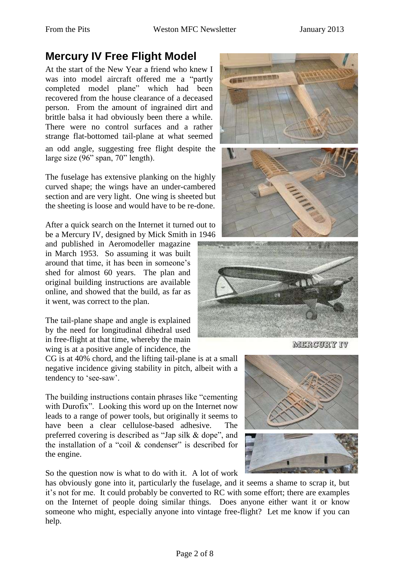# **Mercury IV Free Flight Model**

At the start of the New Year a friend who knew I was into model aircraft offered me a "partly completed model plane" which had been recovered from the house clearance of a deceased person. From the amount of ingrained dirt and brittle balsa it had obviously been there a while. There were no control surfaces and a rather strange flat-bottomed tail-plane at what seemed an odd angle, suggesting free flight despite the large size (96" span, 70" length).

The fuselage has extensive planking on the highly curved shape; the wings have an under-cambered section and are very light. One wing is sheeted but the sheeting is loose and would have to be re-done.

After a quick search on the Internet it turned out to be a Mercury IV, designed by Mick Smith in 1946

and published in Aeromodeller magazine in March 1953. So assuming it was built around that time, it has been in someone's shed for almost 60 years. The plan and original building instructions are available online, and showed that the build, as far as it went, was correct to the plan.

The tail-plane shape and angle is explained by the need for longitudinal dihedral used in free-flight at that time, whereby the main wing is at a positive angle of incidence, the

CG is at 40% chord, and the lifting tail-plane is at a small negative incidence giving stability in pitch, albeit with a tendency to 'see-saw'.

The building instructions contain phrases like "cementing with Durofix". Looking this word up on the Internet now leads to a range of power tools, but originally it seems to have been a clear cellulose-based adhesive. The preferred covering is described as "Jap silk & dope", and the installation of a "coil  $\&$  condenser" is described for the engine.

So the question now is what to do with it. A lot of work

has obviously gone into it, particularly the fuselage, and it seems a shame to scrap it, but it's not for me. It could probably be converted to RC with some effort; there are examples on the Internet of people doing similar things. Does anyone either want it or know someone who might, especially anyone into vintage free-flight? Let me know if you can help.





MERCURY IV

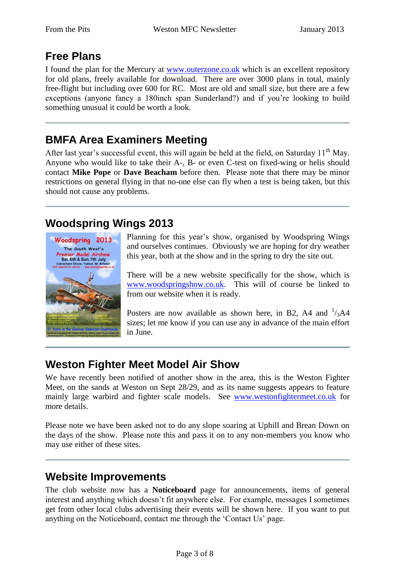## **Free Plans**

I found the plan for the Mercury at [www.outerzone.co.uk](http://www.outerzone.co.uk/) which is an excellent repository for old plans, freely available for download. There are over 3000 plans in total, mainly free-flight but including over 600 for RC. Most are old and small size, but there are a few exceptions (anyone fancy a 180inch span Sunderland?) and if you're looking to build something unusual it could be worth a look.

## **BMFA Area Examiners Meeting**

After last year's successful event, this will again be held at the field, on Saturday  $11<sup>th</sup>$  May. Anyone who would like to take their A-, B- or even C-test on fixed-wing or helis should contact **Mike Pope** or **Dave Beacham** before then. Please note that there may be minor restrictions on general flying in that no-one else can fly when a test is being taken, but this should not cause any problems.

### **Woodspring Wings 2013**



Planning for this year's show, organised by Woodspring Wings and ourselves continues. Obviously we are hoping for dry weather this year, both at the show and in the spring to dry the site out.

There will be a new website specifically for the show, which is [www.woodspringshow.co.uk.](http://www.woodspringshow.co.uk/) This will of course be linked to from our website when it is ready.

Posters are now available as shown here, in B2, A4 and  $\frac{1}{3}$ A4 sizes; let me know if you can use any in advance of the main effort in June.

# **Weston Fighter Meet Model Air Show**

We have recently been notified of another show in the area, this is the Weston Fighter Meet, on the sands at Weston on Sept 28/29, and as its name suggests appears to feature mainly large warbird and fighter scale models. See [www.westonfightermeet.co.uk](http://www.westonfightermeet.co.uk/) for more details.

Please note we have been asked not to do any slope soaring at Uphill and Brean Down on the days of the show. Please note this and pass it on to any non-members you know who may use either of these sites.

### **Website Improvements**

The club website now has a **Noticeboard** page for announcements, items of general interest and anything which doesn't fit anywhere else. For example, messages I sometimes get from other local clubs advertising their events will be shown here. If you want to put anything on the Noticeboard, contact me through the 'Contact Us' page.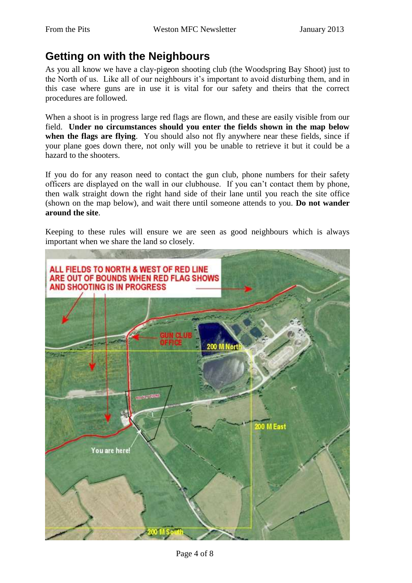## **Getting on with the Neighbours**

As you all know we have a clay-pigeon shooting club (the Woodspring Bay Shoot) just to the North of us. Like all of our neighbours it's important to avoid disturbing them, and in this case where guns are in use it is vital for our safety and theirs that the correct procedures are followed.

When a shoot is in progress large red flags are flown, and these are easily visible from our field. **Under no circumstances should you enter the fields shown in the map below when the flags are flying**. You should also not fly anywhere near these fields, since if your plane goes down there, not only will you be unable to retrieve it but it could be a hazard to the shooters.

If you do for any reason need to contact the gun club, phone numbers for their safety officers are displayed on the wall in our clubhouse. If you can't contact them by phone, then walk straight down the right hand side of their lane until you reach the site office (shown on the map below), and wait there until someone attends to you. **Do not wander around the site**.

Keeping to these rules will ensure we are seen as good neighbours which is always important when we share the land so closely.

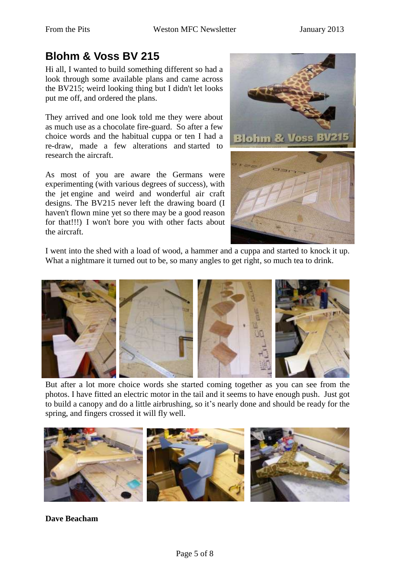# **Blohm & Voss BV 215**

Hi all, I wanted to build something different so had a look through some available plans and came across the BV215; weird looking thing but I didn't let looks put me off, and ordered the plans.

They arrived and one look told me they were about as much use as a chocolate fire-guard. So after a few choice words and the habitual cuppa or ten I had a re-draw, made a few alterations and started to research the aircraft.

As most of you are aware the Germans were experimenting (with various degrees of success), with the jet engine and weird and wonderful air craft designs. The BV215 never left the drawing board (I haven't flown mine yet so there may be a good reason for that!!!) I won't bore you with other facts about the aircraft.



I went into the shed with a load of wood, a hammer and a cuppa and started to knock it up. What a nightmare it turned out to be, so many angles to get right, so much tea to drink.



But after a lot more choice words she started coming together as you can see from the photos. I have fitted an electric motor in the tail and it seems to have enough push. Just got to build a canopy and do a little airbrushing, so it's nearly done and should be ready for the spring, and fingers crossed it will fly well.



**Dave Beacham**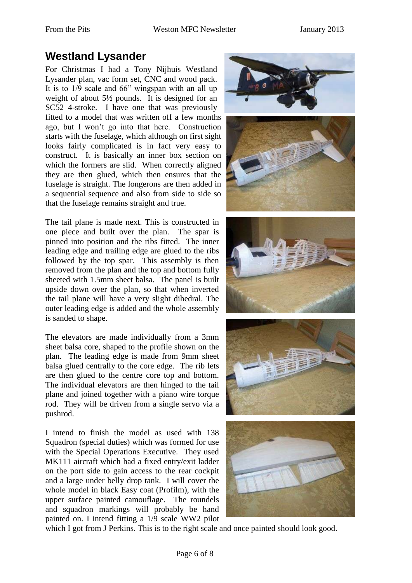## **Westland Lysander**

For Christmas I had a Tony Nijhuis Westland Lysander plan, vac form set, CNC and wood pack. It is to 1/9 scale and 66" wingspan with an all up weight of about 5½ pounds. It is designed for an SC52 4-stroke. I have one that was previously fitted to a model that was written off a few months ago, but I won't go into that here. Construction starts with the fuselage, which although on first sight looks fairly complicated is in fact very easy to construct. It is basically an inner box section on which the formers are slid. When correctly aligned they are then glued, which then ensures that the fuselage is straight. The longerons are then added in a sequential sequence and also from side to side so that the fuselage remains straight and true.

The tail plane is made next. This is constructed in one piece and built over the plan. The spar is pinned into position and the ribs fitted. The inner leading edge and trailing edge are glued to the ribs followed by the top spar. This assembly is then removed from the plan and the top and bottom fully sheeted with 1.5mm sheet balsa. The panel is built upside down over the plan, so that when inverted the tail plane will have a very slight dihedral. The outer leading edge is added and the whole assembly is sanded to shape.

The elevators are made individually from a 3mm sheet balsa core, shaped to the profile shown on the plan. The leading edge is made from 9mm sheet balsa glued centrally to the core edge. The rib lets are then glued to the centre core top and bottom. The individual elevators are then hinged to the tail plane and joined together with a piano wire torque rod. They will be driven from a single servo via a pushrod.

I intend to finish the model as used with 138 Squadron (special duties) which was formed for use with the Special Operations Executive. They used MK111 aircraft which had a fixed entry/exit ladder on the port side to gain access to the rear cockpit and a large under belly drop tank. I will cover the whole model in black Easy coat (Profilm), with the upper surface painted camouflage. The roundels and squadron markings will probably be hand painted on. I intend fitting a 1/9 scale WW2 pilot









which I got from J Perkins. This is to the right scale and once painted should look good.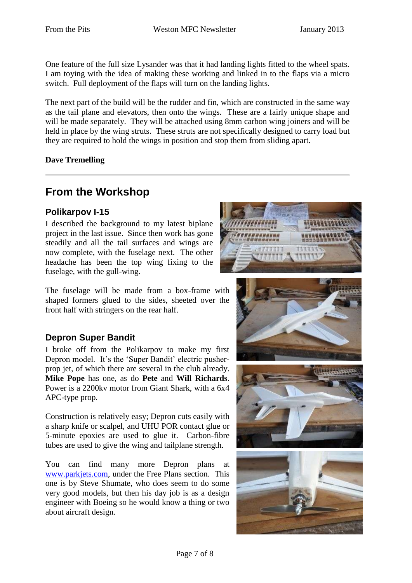One feature of the full size Lysander was that it had landing lights fitted to the wheel spats. I am toying with the idea of making these working and linked in to the flaps via a micro switch. Full deployment of the flaps will turn on the landing lights.

The next part of the build will be the rudder and fin, which are constructed in the same way as the tail plane and elevators, then onto the wings. These are a fairly unique shape and will be made separately. They will be attached using 8mm carbon wing joiners and will be held in place by the wing struts. These struts are not specifically designed to carry load but they are required to hold the wings in position and stop them from sliding apart.

#### **Dave Tremelling**

## **From the Workshop**

#### **Polikarpov I-15**

I described the background to my latest biplane project in the last issue. Since then work has gone steadily and all the tail surfaces and wings are now complete, with the fuselage next. The other headache has been the top wing fixing to the fuselage, with the gull-wing.



#### **Depron Super Bandit**

I broke off from the Polikarpov to make my first Depron model. It's the 'Super Bandit' electric pusherprop jet, of which there are several in the club already. **Mike Pope** has one, as do **Pete** and **Will Richards**. Power is a 2200kv motor from Giant Shark, with a 6x4 APC-type prop.

Construction is relatively easy; Depron cuts easily with a sharp knife or scalpel, and UHU POR contact glue or 5-minute epoxies are used to glue it. Carbon-fibre tubes are used to give the wing and tailplane strength.

You can find many more Depron plans at [www.parkjets.com,](http://www.parkjets.com/) under the Free Plans section. This one is by Steve Shumate, who does seem to do some very good models, but then his day job is as a design engineer with Boeing so he would know a thing or two about aircraft design.